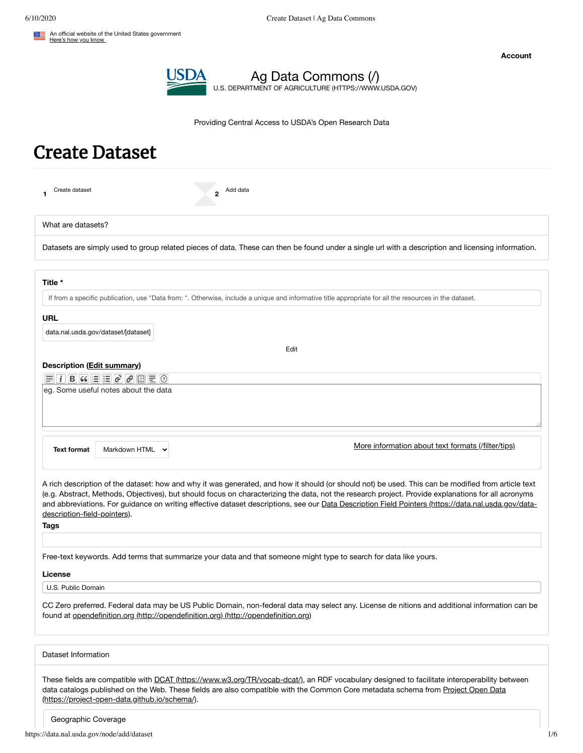

Ag Data [Commons](https://data.nal.usda.gov/) (/) U.S. DEPARTMENT OF AGRICULTURE [\(HTTPS://WWW.USDA.GOV\)](https://www.usda.gov/)

Providing Central Access to USDA's Open Research Data

# Create Dataset

| Add data<br>Create dataset<br>$\mathbf{c}$<br>1.                                                                                                                                                                                                                                                                                                                                                                                                                                                        |  |  |  |
|---------------------------------------------------------------------------------------------------------------------------------------------------------------------------------------------------------------------------------------------------------------------------------------------------------------------------------------------------------------------------------------------------------------------------------------------------------------------------------------------------------|--|--|--|
| What are datasets?                                                                                                                                                                                                                                                                                                                                                                                                                                                                                      |  |  |  |
| Datasets are simply used to group related pieces of data. These can then be found under a single url with a description and licensing information.                                                                                                                                                                                                                                                                                                                                                      |  |  |  |
| Title *                                                                                                                                                                                                                                                                                                                                                                                                                                                                                                 |  |  |  |
| If from a specific publication, use "Data from: ". Otherwise, include a unique and informative title appropriate for all the resources in the dataset.                                                                                                                                                                                                                                                                                                                                                  |  |  |  |
| URL<br>data.nal.usda.gov/dataset/[dataset]                                                                                                                                                                                                                                                                                                                                                                                                                                                              |  |  |  |
| Edit                                                                                                                                                                                                                                                                                                                                                                                                                                                                                                    |  |  |  |
| Description (Edit summary)<br>Ħ<br>eg. Some useful notes about the data                                                                                                                                                                                                                                                                                                                                                                                                                                 |  |  |  |
| More information about text formats (/filter/tips)<br><b>Text format</b><br>Markdown HTML                                                                                                                                                                                                                                                                                                                                                                                                               |  |  |  |
| A rich description of the dataset: how and why it was generated, and how it should (or should not) be used. This can be modified from article text<br>(e.g. Abstract, Methods, Objectives), but should focus on characterizing the data, not the research project. Provide explanations for all acronyms<br>and abbreviations. For guidance on writing effective dataset descriptions, see our Data Description Field Pointers (https://data.nal.usda.gov/data-<br>description-field-pointers).<br>Tags |  |  |  |
| Free-text keywords. Add terms that summarize your data and that someone might type to search for data like yours.                                                                                                                                                                                                                                                                                                                                                                                       |  |  |  |
| License<br>U.S. Public Domain                                                                                                                                                                                                                                                                                                                                                                                                                                                                           |  |  |  |
| CC Zero preferred. Federal data may be US Public Domain, non-federal data may select any. License de nitions and additional information can be<br>found at opendefinition.org (http://opendefinition.org) (http://opendefinition.org)                                                                                                                                                                                                                                                                   |  |  |  |
| Dataset Information                                                                                                                                                                                                                                                                                                                                                                                                                                                                                     |  |  |  |
| These fields are compatible with DCAT (https://www.w3.org/TR/vocab-dcat/), an RDF vocabulary designed to facilitate interoperability between<br>data catalogs published on the Web. These fields are also compatible with the Common Core metadata schema from Project Open Data<br>(https://project-open-data.github.io/schema/).                                                                                                                                                                      |  |  |  |

Geographic Coverage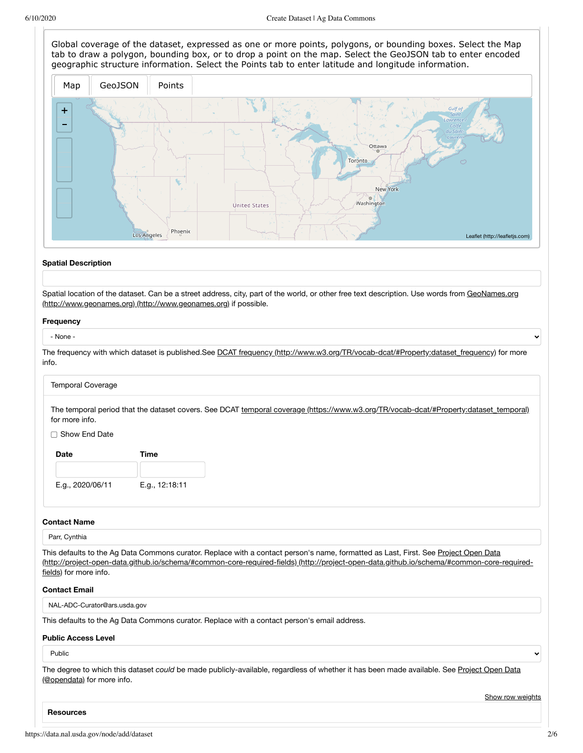Global coverage of the dataset, expressed as one or more points, polygons, or bounding boxes. Select the Map tab to draw a polygon, bounding box, or to drop a point on the map. Select the GeoJSON tab to enter encoded geographic structure information. Select the Points tab to enter latitude and longitude information.

<span id="page-1-0"></span>

#### **Spatial Description**

Spatial location of the dataset. Can be a street address, city, part of the world, or other free text description. Use words from GeoNames.org (http://www.geonames.org) [\(http://www.geonames.org\)](http://www.geonames.org/) if possible.

#### **Frequency**

#### - None -

The frequency with which dataset is published.See DCAT frequency [\(http://www.w3.org/TR/vocab-dcat/#Property:dataset\\_frequency\)](http://www.w3.org/TR/vocab-dcat/#Property:dataset_frequency) for more info.

#### Temporal Coverage

The temporal period that the dataset covers. See DCAT temporal coverage [\(https://www.w3.org/TR/vocab-dcat/#Property:dataset\\_temporal\)](https://www.w3.org/TR/vocab-dcat/#Property:dataset_temporal) for more info.

## □ Show End Date

| Date             | Time           |  |
|------------------|----------------|--|
|                  |                |  |
| E.g., 2020/06/11 | E.g., 12:18:11 |  |

# **Contact Name**

Parr, Cynthia

This defaults to the Ag Data Commons curator. Replace with a contact person's name, formatted as Last, First. See Project Open Data [\(http://project-open-data.github.io/schema/#common-core-required-fields\)](http://project-open-data.github.io/schema/#common-core-required-fields) (http://project-open-data.github.io/schema/#common-core-requiredfields) for more info.

# **Contact Email**

NAL-ADC-Curator@ars.usda.gov

This defaults to the Ag Data Commons curator. Replace with a contact person's email address.

# **Public Access Level**

# Public

The degree to which this dataset *could* be made [publicly-available,](https://data.nal.usda.gov/node/add/@opendata) regardless of whether it has been made available. See Project Open Data (@opendata) for more info.

Show row weights

 $\ddot{\phantom{1}}$ 

**Resources**

Ÿ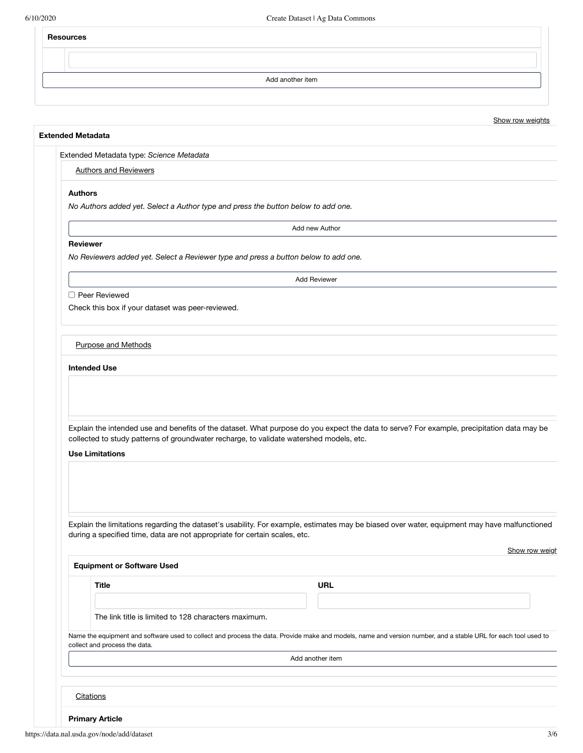# **Resources**

Add another item

# Show row weights

# **Extended Metadata**

Extended Metadata type: *Science Metadata*

# Authors and Reviewers

# **Authors**

*No Authors added yet. Select a Author type and press the button below to add one.*

Add new Author

## **Reviewer**

*No Reviewers added yet. Select a Reviewer type and press a button below to add one.*

Add Reviewer

Peer Reviewed

Check this box if your dataset was peer-reviewed.

# Purpose and Methods

# **Intended Use**

Explain the intended use and benefits of the dataset. What purpose do you expect the data to serve? For example, precipitation data may be collected to study patterns of groundwater recharge, to validate watershed models, etc.

## **Use Limitations**

Explain the limitations regarding the dataset's usability. For example, estimates may be biased over water, equipment may have malfunctioned during a specified time, data are not appropriate for certain scales, etc.

| <b>Equipment or Software Used</b>                    |                                                                                                                                                                |
|------------------------------------------------------|----------------------------------------------------------------------------------------------------------------------------------------------------------------|
| <b>Title</b>                                         | URL                                                                                                                                                            |
|                                                      |                                                                                                                                                                |
| The link title is limited to 128 characters maximum. |                                                                                                                                                                |
| collect and process the data.                        | Name the equipment and software used to collect and process the data. Provide make and models, name and version number, and a stable URL for each tool used to |
|                                                      | Add another item                                                                                                                                               |
|                                                      |                                                                                                                                                                |
|                                                      |                                                                                                                                                                |
| Citations                                            |                                                                                                                                                                |
|                                                      |                                                                                                                                                                |

**Primary Article**

Show row weigh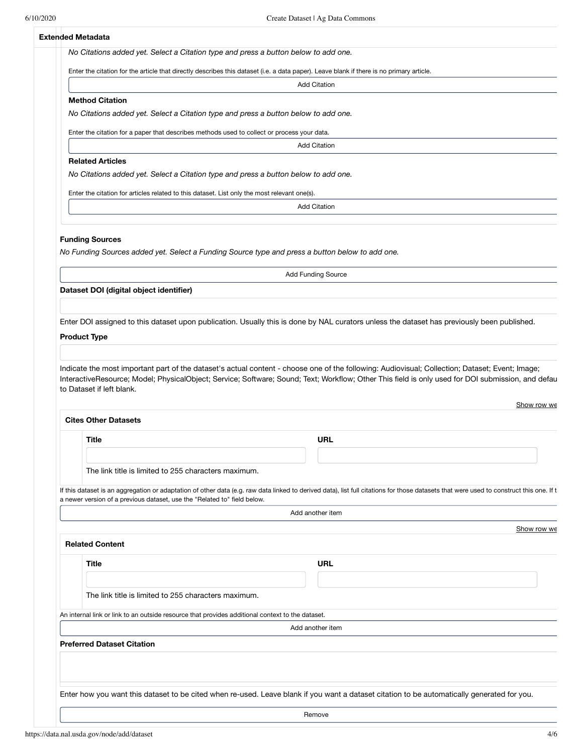# **Extended Metadata**

|                                                                                              | <b>Add Citation</b>                                                                                                                                                                     |
|----------------------------------------------------------------------------------------------|-----------------------------------------------------------------------------------------------------------------------------------------------------------------------------------------|
| <b>Method Citation</b>                                                                       |                                                                                                                                                                                         |
|                                                                                              | No Citations added yet. Select a Citation type and press a button below to add one.                                                                                                     |
|                                                                                              | Enter the citation for a paper that describes methods used to collect or process your data.                                                                                             |
|                                                                                              | <b>Add Citation</b>                                                                                                                                                                     |
| <b>Related Articles</b>                                                                      |                                                                                                                                                                                         |
|                                                                                              | No Citations added yet. Select a Citation type and press a button below to add one.                                                                                                     |
| Enter the citation for articles related to this dataset. List only the most relevant one(s). |                                                                                                                                                                                         |
|                                                                                              | <b>Add Citation</b>                                                                                                                                                                     |
|                                                                                              |                                                                                                                                                                                         |
| <b>Funding Sources</b>                                                                       |                                                                                                                                                                                         |
|                                                                                              | No Funding Sources added yet. Select a Funding Source type and press a button below to add one.                                                                                         |
|                                                                                              |                                                                                                                                                                                         |
|                                                                                              | <b>Add Funding Source</b>                                                                                                                                                               |
| Dataset DOI (digital object identifier)                                                      |                                                                                                                                                                                         |
|                                                                                              |                                                                                                                                                                                         |
|                                                                                              | Enter DOI assigned to this dataset upon publication. Usually this is done by NAL curators unless the dataset has previously been published.                                             |
| <b>Product Type</b><br>to Dataset if left blank.                                             | Indicate the most important part of the dataset's actual content - choose one of the following: Audiovisual; Collection; Dataset; Event; Image;                                         |
| <b>Cites Other Datasets</b>                                                                  |                                                                                                                                                                                         |
| Title                                                                                        | InteractiveResource; Model; PhysicalObject; Service; Software; Sound; Text; Workflow; Other This field is only used for DOI submission, and defau<br>Show row we<br><b>URL</b>          |
|                                                                                              |                                                                                                                                                                                         |
|                                                                                              |                                                                                                                                                                                         |
| The link title is limited to 255 characters maximum.                                         |                                                                                                                                                                                         |
|                                                                                              |                                                                                                                                                                                         |
| a newer version of a previous dataset, use the "Related to" field below.                     | Add another item                                                                                                                                                                        |
|                                                                                              | If this dataset is an aggregation or adaptation of other data (e.g. raw data linked to derived data), list full citations for those datasets that were used to construct this one. If t |
|                                                                                              |                                                                                                                                                                                         |
| <b>Related Content</b>                                                                       |                                                                                                                                                                                         |
| Title                                                                                        | Show row we<br><b>URL</b>                                                                                                                                                               |
|                                                                                              |                                                                                                                                                                                         |
| The link title is limited to 255 characters maximum.                                         |                                                                                                                                                                                         |
|                                                                                              | An internal link or link to an outside resource that provides additional context to the dataset.                                                                                        |

Enter how you want this dataset to be cited when re-used. Leave blank if you want a dataset citation to be automatically generated for you.

Remove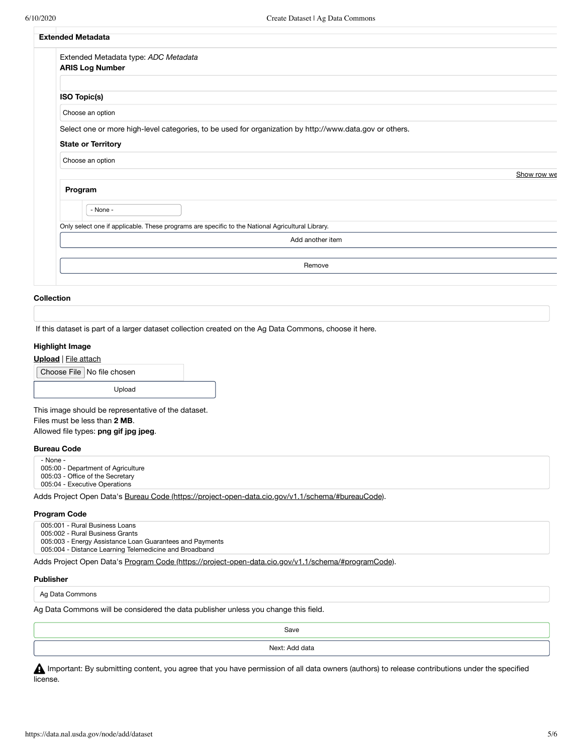| <b>Extended Metadata</b>                                                                                                                                 |             |  |  |  |
|----------------------------------------------------------------------------------------------------------------------------------------------------------|-------------|--|--|--|
| Extended Metadata type: ADC Metadata<br><b>ARIS Log Number</b>                                                                                           |             |  |  |  |
| ISO Topic(s)                                                                                                                                             |             |  |  |  |
| Choose an option                                                                                                                                         |             |  |  |  |
| Select one or more high-level categories, to be used for organization by http://www.data.gov or others.<br><b>State or Territory</b><br>Choose an option |             |  |  |  |
|                                                                                                                                                          | Show row we |  |  |  |
| Program                                                                                                                                                  |             |  |  |  |
| - None -                                                                                                                                                 |             |  |  |  |
| Only select one if applicable. These programs are specific to the National Agricultural Library.                                                         |             |  |  |  |
| Add another item                                                                                                                                         |             |  |  |  |
| Remove                                                                                                                                                   |             |  |  |  |

## **Collection**

If this dataset is part of a larger dataset collection created on the Ag Data Commons, choose it here.

## **Highlight Image**

**Upload** | File attach

|  | Choose File No file chosen |
|--|----------------------------|
|--|----------------------------|

Upload

This image should be representative of the dataset. Files must be less than **2 MB**.

Allowed file types: **png gif jpg jpeg**.

#### **Bureau Code**

- None - 005:00 - Department of Agriculture

005:03 - Office of the Secretary

005:04 - Executive Operations

Adds Project Open Data's Bureau Code [\(https://project-open-data.cio.gov/v1.1/schema/#bureauCode\)](https://project-open-data.cio.gov/v1.1/schema/#bureauCode).

#### **Program Code**

005:001 - Rural Business Loans

005:002 - Rural Business Grants

005:003 - Energy Assistance Loan Guarantees and Payments

005:004 - Distance Learning Telemedicine and Broadband

Adds Project Open Data's Program Code [\(https://project-open-data.cio.gov/v1.1/schema/#programCode\)](https://project-open-data.cio.gov/v1.1/schema/#programCode).

# **Publisher**

Ag Data Commons

Ag Data Commons will be considered the data publisher unless you change this field.

Save

Next: Add data

**A** Important: By submitting content, you agree that you have permission of all data owners (authors) to release contributions under the specified license.